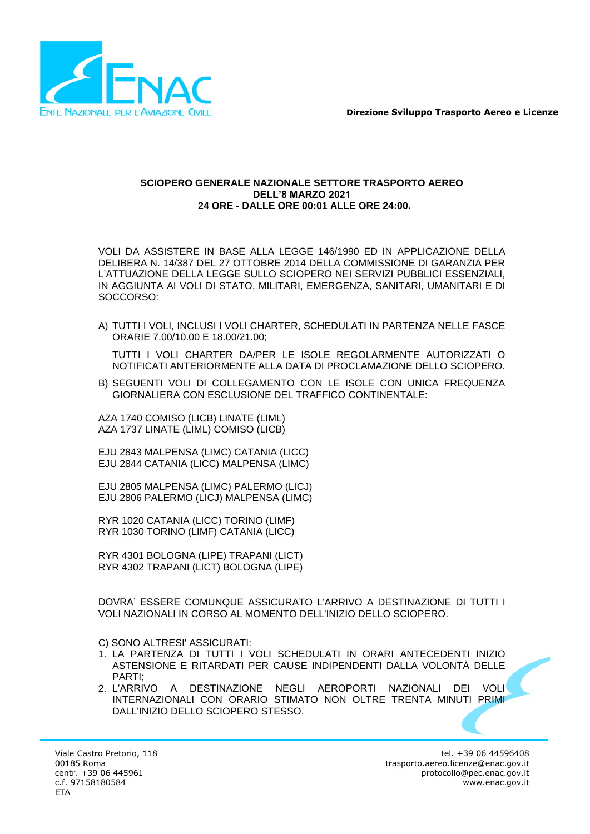

### **SCIOPERO GENERALE NAZIONALE SETTORE TRASPORTO AEREO DELL'8 MARZO 2021 24 ORE - DALLE ORE 00:01 ALLE ORE 24:00.**

VOLI DA ASSISTERE IN BASE ALLA LEGGE 146/1990 ED IN APPLICAZIONE DELLA DELIBERA N. 14/387 DEL 27 OTTOBRE 2014 DELLA COMMISSIONE DI GARANZIA PER L'ATTUAZIONE DELLA LEGGE SULLO SCIOPERO NEI SERVIZI PUBBLICI ESSENZIALI, IN AGGIUNTA AI VOLI DI STATO, MILITARI, EMERGENZA, SANITARI, UMANITARI E DI SOCCORSO:

A) TUTTI I VOLI, INCLUSI I VOLI CHARTER, SCHEDULATI IN PARTENZA NELLE FASCE ORARIE 7.00/10.00 E 18.00/21.00;

TUTTI I VOLI CHARTER DA/PER LE ISOLE REGOLARMENTE AUTORIZZATI O NOTIFICATI ANTERIORMENTE ALLA DATA DI PROCLAMAZIONE DELLO SCIOPERO.

B) SEGUENTI VOLI DI COLLEGAMENTO CON LE ISOLE CON UNICA FREQUENZA GIORNALIERA CON ESCLUSIONE DEL TRAFFICO CONTINENTALE:

AZA 1740 COMISO (LICB) LINATE (LIML) AZA 1737 LINATE (LIML) COMISO (LICB)

EJU 2843 MALPENSA (LIMC) CATANIA (LICC) EJU 2844 CATANIA (LICC) MALPENSA (LIMC)

EJU 2805 MALPENSA (LIMC) PALERMO (LICJ) EJU 2806 PALERMO (LICJ) MALPENSA (LIMC)

RYR 1020 CATANIA (LICC) TORINO (LIMF) RYR 1030 TORINO (LIMF) CATANIA (LICC)

RYR 4301 BOLOGNA (LIPE) TRAPANI (LICT) RYR 4302 TRAPANI (LICT) BOLOGNA (LIPE)

DOVRA' ESSERE COMUNQUE ASSICURATO L'ARRIVO A DESTINAZIONE DI TUTTI I VOLI NAZIONALI IN CORSO AL MOMENTO DELL'INIZIO DELLO SCIOPERO.

C) SONO ALTRESI' ASSICURATI:

- 1. LA PARTENZA DI TUTTI I VOLI SCHEDULATI IN ORARI ANTECEDENTI INIZIO ASTENSIONE E RITARDATI PER CAUSE INDIPENDENTI DALLA VOLONTÀ DELLE PARTI;
- 2. L'ARRIVO A DESTINAZIONE NEGLI AEROPORTI NAZIONALI DEI VOLI INTERNAZIONALI CON ORARIO STIMATO NON OLTRE TRENTA MINUTI PRIMI DALL'INIZIO DELLO SCIOPERO STESSO.